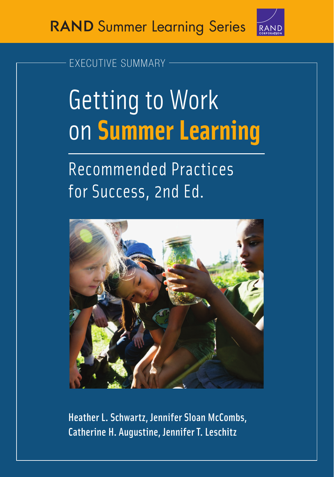

# [EXECUTIVE SUMMARY](https://www.rand.org/pubs/research_reports/RRA205-3.html)

# Getting to Work on **[Summer Learning](https://www.rand.org/pubs/research_reports/RRA205-3.html)**

# Recommended Practices for Success, 2nd Ed.



Fatherine H. Augustine, Jennifer T. Leschitz, Catherine H. Augustine, Jennifer T. Leschitz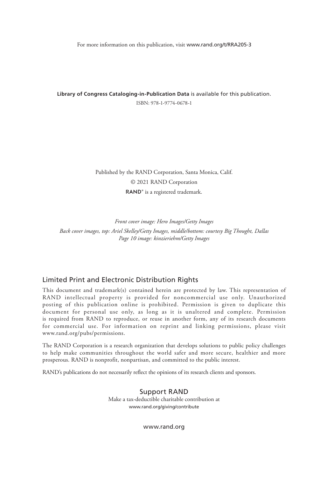For more information on this publication, visit [www.rand.org/t/RRA205-3](http://www.rand.org/t/RRA205-3)

**Library of Congress Cataloging-in-Publication Data** is available for this publication. ISBN: 978-1-9774-0678-1

> Published by the RAND Corporation, Santa Monica, Calif. © 2021 RAND Corporation RAND<sup>®</sup> is a registered trademark.

> > *Front cover image: Hero Images/Getty Images*

*Back cover images, top: Ariel Skelley/Getty Images, middle/bottom: courtesy Big Thought, Dallas Page 10 image: kinzieriehm/Getty Images*

#### Limited Print and Electronic Distribution Rights

This document and trademark(s) contained herein are protected by law. This representation of RAND intellectual property is provided for noncommercial use only. Unauthorized posting of this publication online is prohibited. Permission is given to duplicate this document for personal use only, as long as it is unaltered and complete. Permission is required from RAND to reproduce, or reuse in another form, any of its research documents for commercial use. For information on reprint and linking permissions, please visit [www.rand.org/pubs/permissions.](http://www.rand.org/pubs/permissions)

The RAND Corporation is a research organization that develops solutions to public policy challenges to help make communities throughout the world safer and more secure, healthier and more prosperous. RAND is nonprofit, nonpartisan, and committed to the public interest.

RAND's publications do not necessarily reflect the opinions of its research clients and sponsors.

Support RAND Make a tax-deductible charitable contribution at [www.rand.org/giving/contribute](http://www.rand.org/giving/contribute)

[www.rand.org](http://www.rand.org)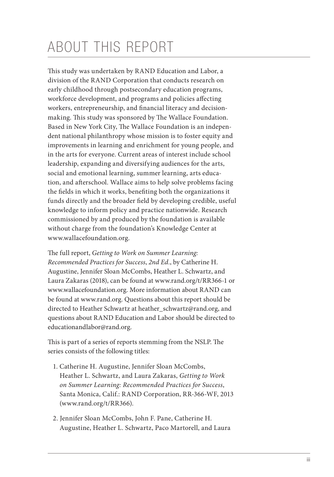# ABOUT THIS REPORT

This study was undertaken by RAND Education and Labor, a division of the RAND Corporation that conducts research on early childhood through postsecondary education programs, workforce development, and programs and policies affecting workers, entrepreneurship, and financial literacy and decisionmaking. This study was sponsored by The Wallace Foundation. Based in New York City, The Wallace Foundation is an independent national philanthropy whose mission is to foster equity and improvements in learning and enrichment for young people, and in the arts for everyone. Current areas of interest include school leadership, expanding and diversifying audiences for the arts, social and emotional learning, summer learning, arts education, and afterschool. Wallace aims to help solve problems facing the fields in which it works, benefiting both the organizations it funds directly and the broader field by developing credible, useful knowledge to inform policy and practice nationwide. Research commissioned by and produced by the foundation is available without charge from the foundation's Knowledge Center at [www.wallacefoundation.org.](http://www.wallacefoundation.org)

The full report, *Getting to Work on Summer Learning: Recommended Practices for Success*, *2nd Ed.*, by Catherine H. Augustine, Jennifer Sloan McCombs, Heather L. Schwartz, and Laura Zakaras (2018), can be found at [www.rand.org/t/RR366-1](http://www.rand.org/t/RR366-1) or [www.wallacefoundation.org.](http://www.wallacefoundation.org) More information about RAND can be found at [www.rand.org.](http://www.rand.org) Questions about this report should be directed to Heather Schwartz at [heather\\_schwartz@rand.org,](mailto:heather_schwartz@rand.org) and questions about RAND Education and Labor should be directed to [educationandlabor@rand.org.](mailto:educationandlabor@rand.org)

This is part of a series of reports stemming from the NSLP. The series consists of the following titles:

- 1. Catherine H. Augustine, Jennifer Sloan McCombs, Heather L. Schwartz, and Laura Zakaras, *Getting to Work on Summer Learning: Recommended Practices for Success*, Santa Monica, Calif.: RAND Corporation, RR-366-WF, 2013 [\(www.rand.org/t/RR366\)](http://www.rand.org/t/RR366).
- 2. Jennifer Sloan McCombs, John F. Pane, Catherine H. Augustine, Heather L. Schwartz, Paco Martorell, and Laura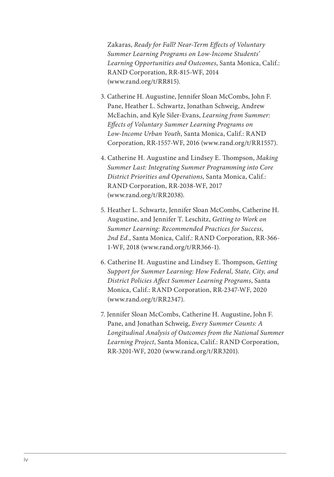Zakaras, *Ready for Fall? Near-Term Effects of Voluntary Summer Learning Programs on Low-Income Students' Learning Opportunities and Outcomes*, Santa Monica, Calif.: RAND Corporation, RR-815-WF, 2014 [\(www.rand.org/t/RR815\)](http://www.rand.org/t/RR815).

- 3. Catherine H. Augustine, Jennifer Sloan McCombs, John F. Pane, Heather L. Schwartz, Jonathan Schweig, Andrew McEachin, and Kyle Siler-Evans, *Learning from Summer: Effects of Voluntary Summer Learning Programs on Low-Income Urban Youth*, Santa Monica, Calif.: RAND Corporation, RR-1557-WF, 2016 ([www.rand.org/t/RR1557\).](http://www.rand.org/t/RR1557)
- 4. Catherine H. Augustine and Lindsey E. Thompson, *Making Summer Last: Integrating Summer Programming into Core District Priorities and Operations*, Santa Monica, Calif.: RAND Corporation, RR-2038-WF, 2017 [\(www.rand.org/t/RR2038](http://www.rand.org/t/RR2038)).
- 5. Heather L. Schwartz, Jennifer Sloan McCombs, Catherine H. Augustine, and Jennifer T. Leschitz, *Getting to Work on Summer Learning: Recommended Practices for Success*, *2nd Ed.*, Santa Monica, Calif.: RAND Corporation, RR-366- 1-WF, 201[8 \(www.rand.org/t/RR36](http://www.rand.org/t/RR366-1)6-1).
- 6. Catherine H. Augustine and Lindsey E. Thompson, *Getting Support for Summer Learning: How Federal, State, City, and District Policies Affect Summer Learning Programs*, Santa Monica, Calif.: RAND Corporation, RR-2347-WF, 2020 [\(www.rand.org/t/RR2347](http://www.rand.org/t/RR2347)).
- 7. Jennifer Sloan McCombs, Catherine H. Augustine, John F. Pane, and Jonathan Schweig, *Every Summer Counts: A Longitudinal Analysis of Outcomes from the National Summer Learning Project*, Santa Monica, Calif.: RAND Corporation, RR-3201-WF, 2020 ([www.rand.org/t/RR3201\).](http://www.rand.org/t/RR3201)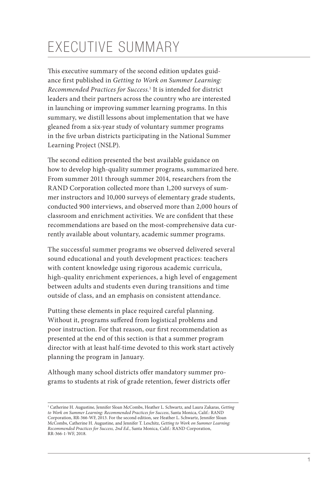# EXECUTIVE SUMMARY

This executive summary of the second edition updates guidance first published in *Getting to Work on Summer Learning: Recommended Practices for Success.*<sup>1</sup> It is intended for district leaders and their partners across the country who are interested in launching or improving summer learning programs. In this summary, we distill lessons about implementation that we have gleaned from a six-year study of voluntary summer programs in the five urban districts participating in the National Summer Learning Project (NSLP).

The second edition presented the best available guidance on how to develop high-quality summer programs, summarized here. From summer 2011 through summer 2014, researchers from the RAND Corporation collected more than 1,200 surveys of summer instructors and 10,000 surveys of elementary grade students, conducted 900 interviews, and observed more than 2,000 hours of classroom and enrichment activities. We are confident that these recommendations are based on the most-comprehensive data currently available about voluntary, academic summer programs.

The successful summer programs we observed delivered several sound educational and youth development practices: teachers with content knowledge using rigorous academic curricula, high-quality enrichment experiences, a high level of engagement between adults and students even during transitions and time outside of class, and an emphasis on consistent attendance.

Putting these elements in place required careful planning. Without it, programs suffered from logistical problems and poor instruction. For that reason, our first recommendation as presented at the end of this section is that a summer program director with at least half-time devoted to this work start actively planning the program in January.

Although many school districts offer mandatory summer programs to students at risk of grade retention, fewer districts offer

<sup>1</sup> Catherine H. Augustine, Jennifer Sloan McCombs, Heather L. Schwartz, and Laura Zakaras, *Getting to Work on Summer Learning: Recommended Practices for Success*, Santa Monica, Calif.: RAND Corporation, RR-366-WF, 2013. For the second edition, see Heather L. Schwartz, Jennifer Sloan McCombs, Catherine H. Augustine, and Jennifer T. Leschitz, *Getting to Work on Summer Learning: Recommended Practices for Success, 2nd Ed.*, Santa Monica, Calif.: RAND Corporation, RR-366-1-WF, 2018.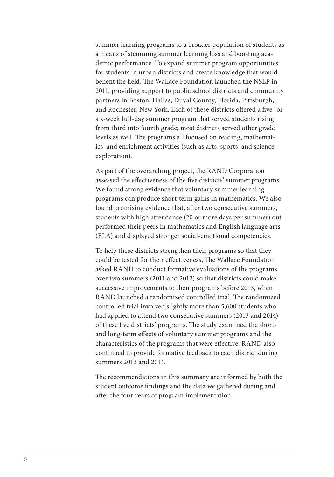summer learning programs to a broader population of students as a means of stemming summer learning loss and boosting academic performance. To expand summer program opportunities for students in urban districts and create knowledge that would benefit the field, The Wallace Foundation launched the NSLP in 2011, providing support to public school districts and community partners in Boston; Dallas; Duval County, Florida; Pittsburgh; and Rochester, New York. Each of these districts offered a five- or six-week full-day summer program that served students rising from third into fourth grade; most districts served other grade levels as well. The programs all focused on reading, mathematics, and enrichment activities (such as arts, sports, and science exploration).

As part of the overarching project, the RAND Corporation assessed the effectiveness of the five districts' summer programs. We found strong evidence that voluntary summer learning programs can produce short-term gains in mathematics. We also found promising evidence that, after two consecutive summers, students with high attendance (20 or more days per summer) outperformed their peers in mathematics and English language arts (ELA) and displayed stronger social-emotional competencies.

To help these districts strengthen their programs so that they could be tested for their effectiveness, The Wallace Foundation asked RAND to conduct formative evaluations of the programs over two summers (2011 and 2012) so that districts could make successive improvements to their programs before 2013, when RAND launched a randomized controlled trial. The randomized controlled trial involved slightly more than 5,600 students who had applied to attend two consecutive summers (2013 and 2014) of these five districts' programs. The study examined the shortand long-term effects of voluntary summer programs and the characteristics of the programs that were effective. RAND also continued to provide formative feedback to each district during summers 2013 and 2014.

The recommendations in this summary are informed by both the student outcome findings and the data we gathered during and after the four years of program implementation.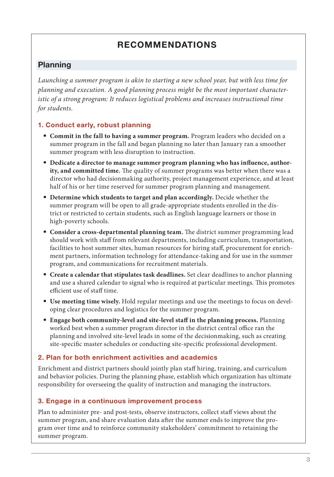# RECOMMENDATIONS

# Planning

*Launching a summer program is akin to starting a new school year, but with less time for planning and execution. A good planning process might be the most important characteristic of a strong program: It reduces logistical problems and increases instructional time for students.*

### 1. Conduct early, robust planning

- **Commit in the fall to having a summer program.** Program leaders who decided on a summer program in the fall and began planning no later than January ran a smoother summer program with less disruption to instruction.
- **Dedicate a director to manage summer program planning who has influence, authority, and committed time.** The quality of summer programs was better when there was a director who had decisionmaking authority, project management experience, and at least half of his or her time reserved for summer program planning and management.
- **Determine which students to target and plan accordingly.** Decide whether the summer program will be open to all grade-appropriate students enrolled in the district or restricted to certain students, such as English language learners or those in high-poverty schools.
- **Consider a cross-departmental planning team.** The district summer programming lead should work with staff from relevant departments, including curriculum, transportation, facilities to host summer sites, human resources for hiring staff, procurement for enrichment partners, information technology for attendance-taking and for use in the summer program, and communications for recruitment materials.
- **Create a calendar that stipulates task deadlines.** Set clear deadlines to anchor planning and use a shared calendar to signal who is required at particular meetings. This promotes efficient use of staff time.
- **Use meeting time wisely.** Hold regular meetings and use the meetings to focus on developing clear procedures and logistics for the summer program.
- **Engage both community-level and site-level staff in the planning process.** Planning worked best when a summer program director in the district central office ran the planning and involved site-level leads in some of the decisionmaking, such as creating site-specific master schedules or conducting site-specific professional development.

#### 2. Plan for both enrichment activities and academics

Enrichment and district partners should jointly plan staff hiring, training, and curriculum and behavior policies. During the planning phase, establish which organization has ultimate responsibility for overseeing the quality of instruction and managing the instructors.

#### 3. Engage in a continuous improvement process

Plan to administer pre- and post-tests, observe instructors, collect staff views about the summer program, and share evaluation data after the summer ends to improve the program over time and to reinforce community stakeholders' commitment to retaining the summer program.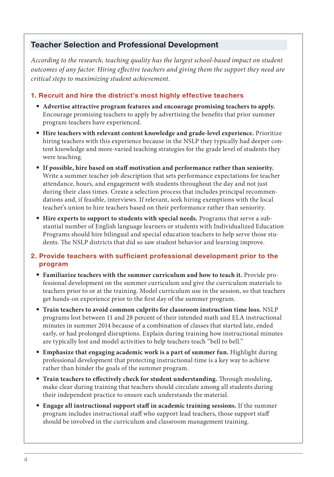# Teacher Selection and Professional Development

*According to the research, teaching quality has the largest school-based impact on student outcomes of any factor. Hiring effective teachers and giving them the support they need are critical steps to maximizing student achievement.*

#### 1. Recruit and hire the district's most highly effective teachers

- **Advertise attractive program features and encourage promising teachers to apply.**  Encourage promising teachers to apply by advertising the benefits that prior summer program teachers have experienced.
- **Hire teachers with relevant content knowledge and grade-level experience.** Prioritize hiring teachers with this experience because in the NSLP they typically had deeper content knowledge and more-varied teaching strategies for the grade level of students they were teaching.
- **If possible, hire based on staff motivation and performance rather than seniority.**  Write a summer teacher job description that sets performance expectations for teacher attendance, hours, and engagement with students throughout the day and not just during their class times. Create a selection process that includes principal recommendations and, if feasible, interviews. If relevant, seek hiring exemptions with the local teacher's union to hire teachers based on their performance rather than seniority.
- **Hire experts to support to students with special needs.** Programs that serve a substantial number of English language learners or students with Individualized Education Programs should hire bilingual and special education teachers to help serve those students. The NSLP districts that did so saw student behavior and learning improve.

#### 2. Provide teachers with sufficient professional development prior to the program

- **Familiarize teachers with the summer curriculum and how to teach it.** Provide professional development on the summer curriculum and give the curriculum materials to teachers prior to or at the training. Model curriculum use in the session, so that teachers get hands-on experience prior to the first day of the summer program.
- **Train teachers to avoid common culprits for classroom instruction time loss.** NSLP programs lost between 11 and 28 percent of their intended math and ELA instructional minutes in summer 2014 because of a combination of classes that started late, ended early, or had prolonged disruptions. Explain during training how instructional minutes are typically lost and model activities to help teachers teach "bell to bell."
- **Emphasize that engaging academic work is a part of summer fun.** Highlight during professional development that protecting instructional time is a key way to achieve rather than hinder the goals of the summer program.
- **Train teachers to effectively check for student understanding.** Through modeling, make clear during training that teachers should circulate among all students during their independent practice to ensure each understands the material.
- **Engage all instructional support staff in academic training sessions.** If the summer program includes instructional staff who support lead teachers, those support staff should be involved in the curriculum and classroom management training.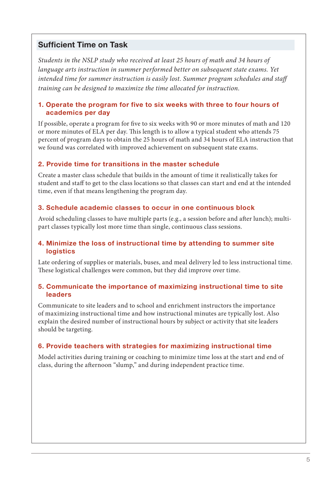### Sufficient Time on Task

*Students in the NSLP study who received at least 25 hours of math and 34 hours of language arts instruction in summer performed better on subsequent state exams. Yet intended time for summer instruction is easily lost. Summer program schedules and staff training can be designed to maximize the time allocated for instruction.*

#### 1. Operate the program for five to six weeks with three to four hours of academics per day

If possible, operate a program for five to six weeks with 90 or more minutes of math and 120 or more minutes of ELA per day. This length is to allow a typical student who attends 75 percent of program days to obtain the 25 hours of math and 34 hours of ELA instruction that we found was correlated with improved achievement on subsequent state exams.

#### 2. Provide time for transitions in the master schedule

Create a master class schedule that builds in the amount of time it realistically takes for student and staff to get to the class locations so that classes can start and end at the intended time, even if that means lengthening the program day.

#### 3. Schedule academic classes to occur in one continuous block

Avoid scheduling classes to have multiple parts (e.g., a session before and after lunch); multipart classes typically lost more time than single, continuous class sessions.

#### 4. Minimize the loss of instructional time by attending to summer site logistics

Late ordering of supplies or materials, buses, and meal delivery led to less instructional time. These logistical challenges were common, but they did improve over time.

#### 5. Communicate the importance of maximizing instructional time to site leaders

Communicate to site leaders and to school and enrichment instructors the importance of maximizing instructional time and how instructional minutes are typically lost. Also explain the desired number of instructional hours by subject or activity that site leaders should be targeting.

#### 6. Provide teachers with strategies for maximizing instructional time

Model activities during training or coaching to minimize time loss at the start and end of class, during the afternoon "slump," and during independent practice time.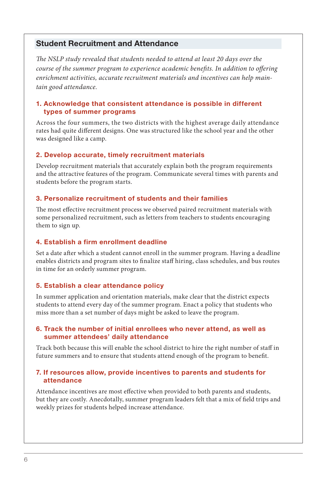#### Student Recruitment and Attendance

*The NSLP study revealed that students needed to attend at least 20 days over the course of the summer program to experience academic benefits. In addition to offering enrichment activities, accurate recruitment materials and incentives can help maintain good attendance.*

#### 1. Acknowledge that consistent attendance is possible in different types of summer programs

Across the four summers, the two districts with the highest average daily attendance rates had quite different designs. One was structured like the school year and the other was designed like a camp.

#### 2. Develop accurate, timely recruitment materials

Develop recruitment materials that accurately explain both the program requirements and the attractive features of the program. Communicate several times with parents and students before the program starts.

#### 3. Personalize recruitment of students and their families

The most effective recruitment process we observed paired recruitment materials with some personalized recruitment, such as letters from teachers to students encouraging them to sign up.

#### 4. Establish a firm enrollment deadline

Set a date after which a student cannot enroll in the summer program. Having a deadline enables districts and program sites to finalize staff hiring, class schedules, and bus routes in time for an orderly summer program.

#### 5. Establish a clear attendance policy

In summer application and orientation materials, make clear that the district expects students to attend every day of the summer program. Enact a policy that students who miss more than a set number of days might be asked to leave the program.

#### 6. Track the number of initial enrollees who never attend, as well as summer attendees' daily attendance

Track both because this will enable the school district to hire the right number of staff in future summers and to ensure that students attend enough of the program to benefit.

#### 7. If resources allow, provide incentives to parents and students for attendance

Attendance incentives are most effective when provided to both parents and students, but they are costly. Anecdotally, summer program leaders felt that a mix of field trips and weekly prizes for students helped increase attendance.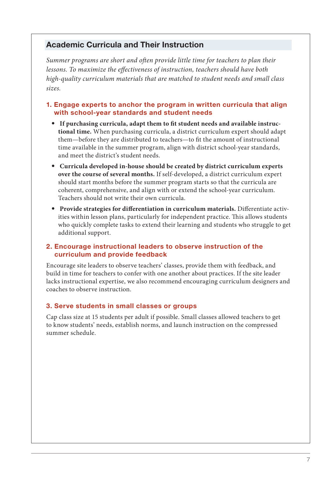# Academic Curricula and Their Instruction

*Summer programs are short and often provide little time for teachers to plan their lessons. To maximize the effectiveness of instruction, teachers should have both high-quality curriculum materials that are matched to student needs and small class sizes.* 

#### 1. Engage experts to anchor the program in written curricula that align with school-year standards and student needs

- **If purchasing curricula, adapt them to fit student needs and available instructional time.** When purchasing curricula, a district curriculum expert should adapt them—before they are distributed to teachers—to fit the amount of instructional time available in the summer program, align with district school-year standards, and meet the district's student needs.
- **Curricula developed in-house should be created by district curriculum experts over the course of several months.** If self-developed, a district curriculum expert should start months before the summer program starts so that the curricula are coherent, comprehensive, and align with or extend the school-year curriculum. Teachers should not write their own curricula.
- **Provide strategies for differentiation in curriculum materials.** Differentiate activities within lesson plans, particularly for independent practice. This allows students who quickly complete tasks to extend their learning and students who struggle to get additional support.

#### 2. Encourage instructional leaders to observe instruction of the curriculum and provide feedback

Encourage site leaders to observe teachers' classes, provide them with feedback, and build in time for teachers to confer with one another about practices. If the site leader lacks instructional expertise, we also recommend encouraging curriculum designers and coaches to observe instruction.

#### 3. Serve students in small classes or groups

Cap class size at 15 students per adult if possible. Small classes allowed teachers to get to know students' needs, establish norms, and launch instruction on the compressed summer schedule.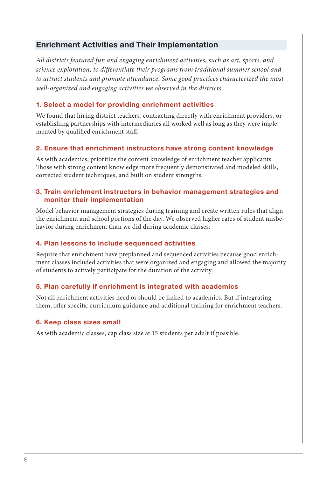# Enrichment Activities and Their Implementation

*All districts featured fun and engaging enrichment activities, such as art, sports, and science exploration, to differentiate their programs from traditional summer school and to attract students and promote attendance. Some good practices characterized the most well-organized and engaging activities we observed in the districts.*

#### 1. Select a model for providing enrichment activities

We found that hiring district teachers, contracting directly with enrichment providers, or establishing partnerships with intermediaries all worked well as long as they were implemented by qualified enrichment staff.

#### 2. Ensure that enrichment instructors have strong content knowledge

As with academics, prioritize the content knowledge of enrichment teacher applicants. Those with strong content knowledge more frequently demonstrated and modeled skills, corrected student techniques, and built on student strengths.

#### 3. Train enrichment instructors in behavior management strategies and monitor their implementation

Model behavior management strategies during training and create written rules that align the enrichment and school portions of the day. We observed higher rates of student misbehavior during enrichment than we did during academic classes.

#### 4. Plan lessons to include sequenced activities

Require that enrichment have preplanned and sequenced activities because good enrichment classes included activities that were organized and engaging and allowed the majority of students to actively participate for the duration of the activity.

#### 5. Plan carefully if enrichment is integrated with academics

Not all enrichment activities need or should be linked to academics. But if integrating them, offer specific curriculum guidance and additional training for enrichment teachers.

#### 6. Keep class sizes small

As with academic classes, cap class size at 15 students per adult if possible.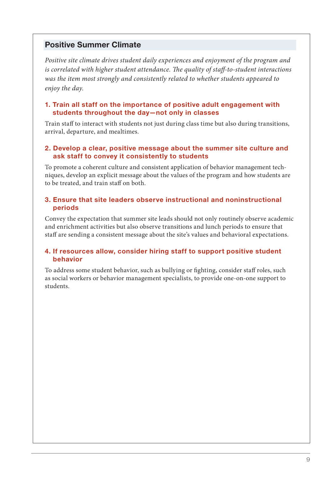# Positive Summer Climate

*Positive site climate drives student daily experiences and enjoyment of the program and is correlated with higher student attendance. The quality of staff-to-student interactions was the item most strongly and consistently related to whether students appeared to enjoy the day.* 

#### 1. Train all staff on the importance of positive adult engagement with students throughout the day—not only in classes

Train staff to interact with students not just during class time but also during transitions, arrival, departure, and mealtimes.

#### 2. Develop a clear, positive message about the summer site culture and ask staff to convey it consistently to students

To promote a coherent culture and consistent application of behavior management techniques, develop an explicit message about the values of the program and how students are to be treated, and train staff on both.

#### 3. Ensure that site leaders observe instructional and noninstructional periods

Convey the expectation that summer site leads should not only routinely observe academic and enrichment activities but also observe transitions and lunch periods to ensure that staff are sending a consistent message about the site's values and behavioral expectations.

#### 4. If resources allow, consider hiring staff to support positive student behavior

To address some student behavior, such as bullying or fighting, consider staff roles, such as social workers or behavior management specialists, to provide one-on-one support to students.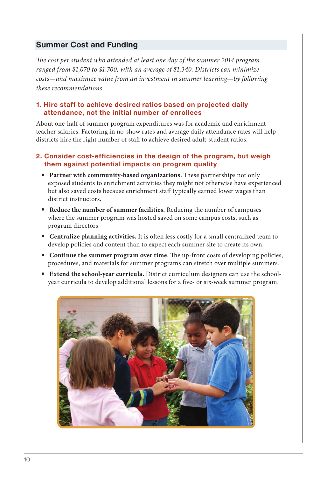### Summer Cost and Funding

*The cost per student who attended at least one day of the summer 2014 program ranged from \$1,070 to \$1,700, with an average of \$1,340. Districts can minimize costs—and maximize value from an investment in summer learning—by following these recommendations.*

#### 1. Hire staff to achieve desired ratios based on projected daily attendance, not the initial number of enrollees

About one-half of summer program expenditures was for academic and enrichment teacher salaries. Factoring in no-show rates and average daily attendance rates will help districts hire the right number of staff to achieve desired adult-student ratios.

#### 2. Consider cost-efficiencies in the design of the program, but weigh them against potential impacts on program quality

- **Partner with community-based organizations.** These partnerships not only exposed students to enrichment activities they might not otherwise have experienced but also saved costs because enrichment staff typically earned lower wages than district instructors.
- **Reduce the number of summer facilities.** Reducing the number of campuses where the summer program was hosted saved on some campus costs, such as program directors.
- **Centralize planning activities.** It is often less costly for a small centralized team to develop policies and content than to expect each summer site to create its own.
- **Continue the summer program over time.** The up-front costs of developing policies, procedures, and materials for summer programs can stretch over multiple summers.
- **Extend the school-year curricula.** District curriculum designers can use the schoolyear curricula to develop additional lessons for a five- or six-week summer program.